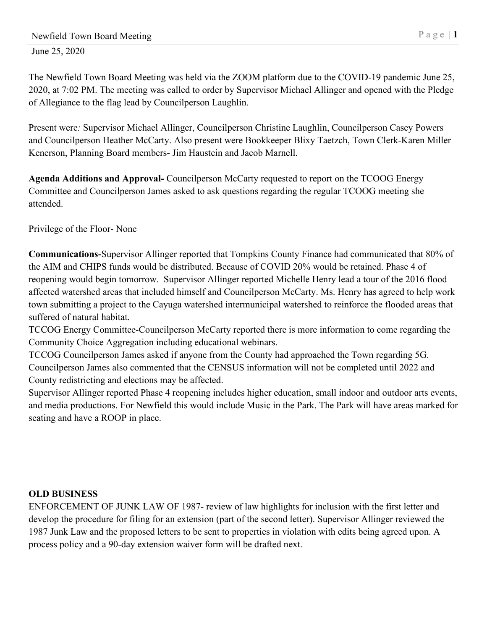June 25, 2020

The Newfield Town Board Meeting was held via the ZOOM platform due to the COVID-19 pandemic June 25, 2020, at 7:02 PM. The meeting was called to order by Supervisor Michael Allinger and opened with the Pledge of Allegiance to the flag lead by Councilperson Laughlin.

Present were*:* Supervisor Michael Allinger, Councilperson Christine Laughlin, Councilperson Casey Powers and Councilperson Heather McCarty. Also present were Bookkeeper Blixy Taetzch, Town Clerk-Karen Miller Kenerson, Planning Board members- Jim Haustein and Jacob Marnell.

**Agenda Additions and Approval-** Councilperson McCarty requested to report on the TCOOG Energy Committee and Councilperson James asked to ask questions regarding the regular TCOOG meeting she attended.

Privilege of the Floor- None

**Communications-**Supervisor Allinger reported that Tompkins County Finance had communicated that 80% of the AIM and CHIPS funds would be distributed. Because of COVID 20% would be retained. Phase 4 of reopening would begin tomorrow. Supervisor Allinger reported Michelle Henry lead a tour of the 2016 flood affected watershed areas that included himself and Councilperson McCarty. Ms. Henry has agreed to help work town submitting a project to the Cayuga watershed intermunicipal watershed to reinforce the flooded areas that suffered of natural habitat.

TCCOG Energy Committee-Councilperson McCarty reported there is more information to come regarding the Community Choice Aggregation including educational webinars.

TCCOG Councilperson James asked if anyone from the County had approached the Town regarding 5G. Councilperson James also commented that the CENSUS information will not be completed until 2022 and County redistricting and elections may be affected.

Supervisor Allinger reported Phase 4 reopening includes higher education, small indoor and outdoor arts events, and media productions. For Newfield this would include Music in the Park. The Park will have areas marked for seating and have a ROOP in place.

## **OLD BUSINESS**

ENFORCEMENT OF JUNK LAW OF 1987- review of law highlights for inclusion with the first letter and develop the procedure for filing for an extension (part of the second letter). Supervisor Allinger reviewed the 1987 Junk Law and the proposed letters to be sent to properties in violation with edits being agreed upon. A process policy and a 90-day extension waiver form will be drafted next.